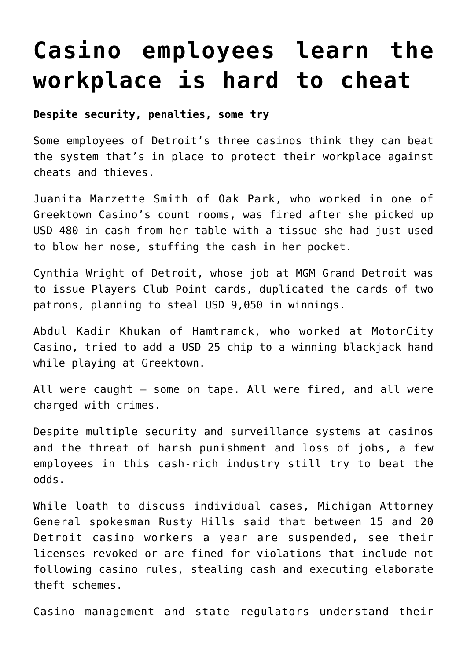# **[Casino employees learn the](https://www.isa-guide.de/english-news/articles/21857.html) [workplace is hard to cheat](https://www.isa-guide.de/english-news/articles/21857.html)**

# **Despite security, penalties, some try**

Some employees of Detroit's three casinos think they can beat the system that's in place to protect their workplace against cheats and thieves.

Juanita Marzette Smith of Oak Park, who worked in one of Greektown Casino's count rooms, was fired after she picked up USD 480 in cash from her table with a tissue she had just used to blow her nose, stuffing the cash in her pocket.

Cynthia Wright of Detroit, whose job at MGM Grand Detroit was to issue Players Club Point cards, duplicated the cards of two patrons, planning to steal USD 9,050 in winnings.

Abdul Kadir Khukan of Hamtramck, who worked at MotorCity Casino, tried to add a USD 25 chip to a winning blackjack hand while playing at Greektown.

All were caught — some on tape. All were fired, and all were charged with crimes.

Despite multiple security and surveillance systems at casinos and the threat of harsh punishment and loss of jobs, a few employees in this cash-rich industry still try to beat the odds.

While loath to discuss individual cases, Michigan Attorney General spokesman Rusty Hills said that between 15 and 20 Detroit casino workers a year are suspended, see their licenses revoked or are fined for violations that include not following casino rules, stealing cash and executing elaborate theft schemes.

Casino management and state regulators understand their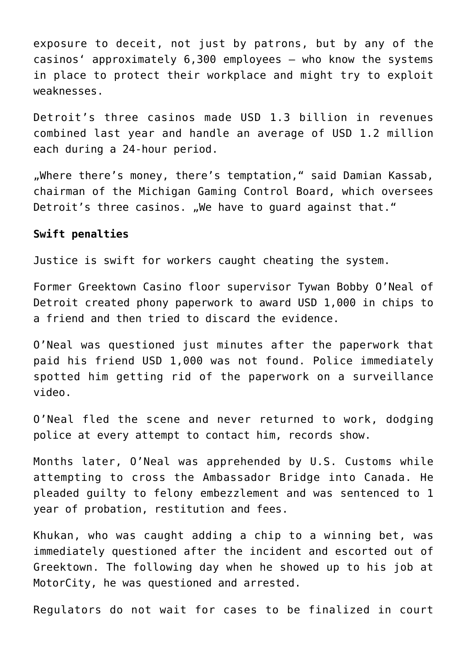exposure to deceit, not just by patrons, but by any of the casinos' approximately 6,300 employees — who know the systems in place to protect their workplace and might try to exploit weaknesses.

Detroit's three casinos made USD 1.3 billion in revenues combined last year and handle an average of USD 1.2 million each during a 24-hour period.

"Where there's money, there's temptation," said Damian Kassab, chairman of the Michigan Gaming Control Board, which oversees Detroit's three casinos. "We have to quard against that."

## **Swift penalties**

Justice is swift for workers caught cheating the system.

Former Greektown Casino floor supervisor Tywan Bobby O'Neal of Detroit created phony paperwork to award USD 1,000 in chips to a friend and then tried to discard the evidence.

O'Neal was questioned just minutes after the paperwork that paid his friend USD 1,000 was not found. Police immediately spotted him getting rid of the paperwork on a surveillance video.

O'Neal fled the scene and never returned to work, dodging police at every attempt to contact him, records show.

Months later, O'Neal was apprehended by U.S. Customs while attempting to cross the Ambassador Bridge into Canada. He pleaded guilty to felony embezzlement and was sentenced to 1 year of probation, restitution and fees.

Khukan, who was caught adding a chip to a winning bet, was immediately questioned after the incident and escorted out of Greektown. The following day when he showed up to his job at MotorCity, he was questioned and arrested.

Regulators do not wait for cases to be finalized in court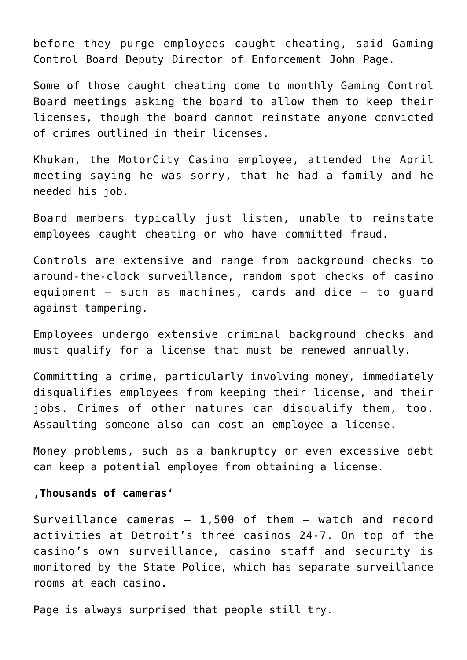before they purge employees caught cheating, said Gaming Control Board Deputy Director of Enforcement John Page.

Some of those caught cheating come to monthly Gaming Control Board meetings asking the board to allow them to keep their licenses, though the board cannot reinstate anyone convicted of crimes outlined in their licenses.

Khukan, the MotorCity Casino employee, attended the April meeting saying he was sorry, that he had a family and he needed his job.

Board members typically just listen, unable to reinstate employees caught cheating or who have committed fraud.

Controls are extensive and range from background checks to around-the-clock surveillance, random spot checks of casino equipment — such as machines, cards and dice — to guard against tampering.

Employees undergo extensive criminal background checks and must qualify for a license that must be renewed annually.

Committing a crime, particularly involving money, immediately disqualifies employees from keeping their license, and their jobs. Crimes of other natures can disqualify them, too. Assaulting someone also can cost an employee a license.

Money problems, such as a bankruptcy or even excessive debt can keep a potential employee from obtaining a license.

## **'Thousands of cameras'**

Surveillance cameras — 1,500 of them — watch and record activities at Detroit's three casinos 24-7. On top of the casino's own surveillance, casino staff and security is monitored by the State Police, which has separate surveillance rooms at each casino.

Page is always surprised that people still try.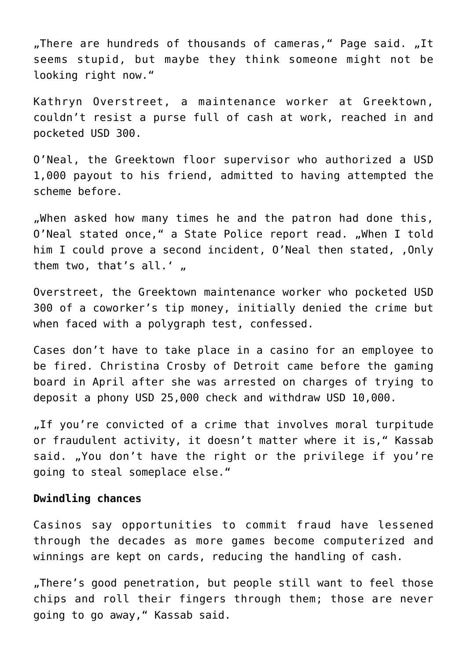"There are hundreds of thousands of cameras," Page said. "It seems stupid, but maybe they think someone might not be looking right now."

Kathryn Overstreet, a maintenance worker at Greektown, couldn't resist a purse full of cash at work, reached in and pocketed USD 300.

O'Neal, the Greektown floor supervisor who authorized a USD 1,000 payout to his friend, admitted to having attempted the scheme before.

"When asked how many times he and the patron had done this, O'Neal stated once," a State Police report read. "When I told him I could prove a second incident, O'Neal then stated, , Only them two, that's all.'  $\mu$ 

Overstreet, the Greektown maintenance worker who pocketed USD 300 of a coworker's tip money, initially denied the crime but when faced with a polygraph test, confessed.

Cases don't have to take place in a casino for an employee to be fired. Christina Crosby of Detroit came before the gaming board in April after she was arrested on charges of trying to deposit a phony USD 25,000 check and withdraw USD 10,000.

"If you're convicted of a crime that involves moral turpitude or fraudulent activity, it doesn't matter where it is," Kassab said. "You don't have the right or the privilege if you're going to steal someplace else."

### **Dwindling chances**

Casinos say opportunities to commit fraud have lessened through the decades as more games become computerized and winnings are kept on cards, reducing the handling of cash.

"There's good penetration, but people still want to feel those chips and roll their fingers through them; those are never going to go away," Kassab said.